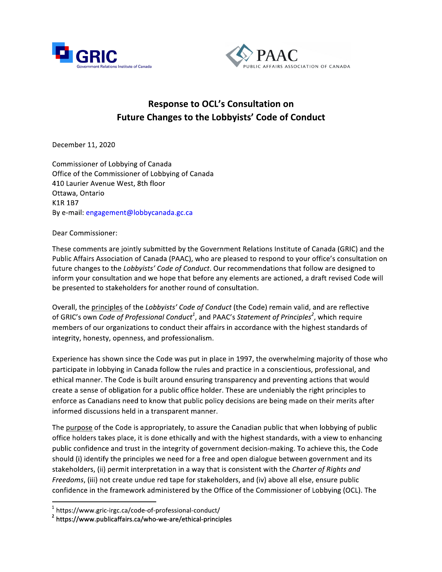



# **Response to OCL's Consultation on Future Changes to the Lobbyists' Code of Conduct**

December 11, 2020

Commissioner of Lobbying of Canada Office of the Commissioner of Lobbying of Canada 410 Laurier Avenue West, 8th floor Ottawa, Ontario **K1R 1B7** By e-mail: engagement@lobbycanada.gc.ca

### Dear Commissioner:

These comments are jointly submitted by the Government Relations Institute of Canada (GRIC) and the Public Affairs Association of Canada (PAAC), who are pleased to respond to your office's consultation on future changes to the *Lobbyists' Code of Conduct*. Our recommendations that follow are designed to inform your consultation and we hope that before any elements are actioned, a draft revised Code will be presented to stakeholders for another round of consultation.

Overall, the principles of the Lobbyists' Code of Conduct (the Code) remain valid, and are reflective of GRIC's own Code of Professional Conduct<sup>1</sup>, and PAAC's Statement of Principles<sup>2</sup>, which require members of our organizations to conduct their affairs in accordance with the highest standards of integrity, honesty, openness, and professionalism.

Experience has shown since the Code was put in place in 1997, the overwhelming majority of those who participate in lobbying in Canada follow the rules and practice in a conscientious, professional, and ethical manner. The Code is built around ensuring transparency and preventing actions that would create a sense of obligation for a public office holder. These are undeniably the right principles to enforce as Canadians need to know that public policy decisions are being made on their merits after informed discussions held in a transparent manner.

The purpose of the Code is appropriately, to assure the Canadian public that when lobbying of public office holders takes place, it is done ethically and with the highest standards, with a view to enhancing public confidence and trust in the integrity of government decision-making. To achieve this, the Code should (i) identify the principles we need for a free and open dialogue between government and its stakeholders, (ii) permit interpretation in a way that is consistent with the Charter of Rights and Freedoms, (iii) not create undue red tape for stakeholders, and (iv) above all else, ensure public confidence in the framework administered by the Office of the Commissioner of Lobbying (OCL). The

 $1$  https://www.gric-irgc.ca/code-of-professional-conduct/

<sup>&</sup>lt;sup>2</sup> https://www.publicaffairs.ca/who-we-are/ethical-principles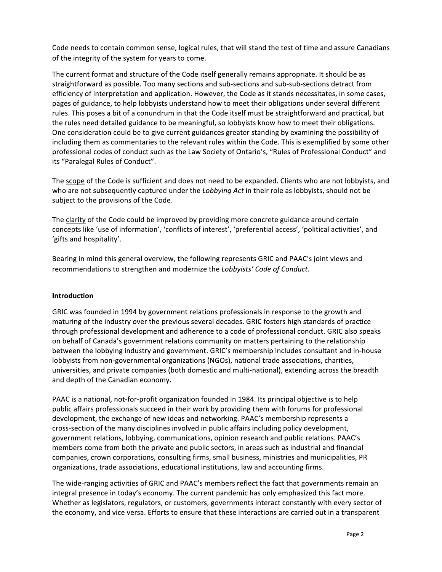Code needs to contain common sense, logical rules, that will stand the test of time and assure Canadians of the integrity of the system for years to come.

The current format and structure of the Code itself generally remains appropriate. It should be as straightforward as possible. Too many sections and sub-sections and sub-sub-sections detract from efficiency of interpretation and application. However, the Code as it stands necessitates, in some cases, pages of guidance, to help lobbyists understand how to meet their obligations under several different rules. This poses a bit of a conundrum in that the Code itself must be straightforward and practical, but the rules need detailed guidance to be meaningful, so lobbyists know how to meet their obligations. One consideration could be to give current guidances greater standing by examining the possibility of including them as commentaries to the relevant rules within the Code. This is exemplified by some other professional codes of conduct such as the Law Society of Ontario's, "Rules of Professional Conduct" and its "Paralegal Rules of Conduct".

The scope of the Code is sufficient and does not need to be expanded. Clients who are not lobbyists, and who are not subsequently captured under the Lobbying Act in their role as lobbyists, should not be subject to the provisions of the Code.

The clarity of the Code could be improved by providing more concrete guidance around certain concepts like 'use of information', 'conflicts of interest', 'preferential access', 'political activities', and 'gifts and hospitality'.

Bearing in mind this general overview, the following represents GRIC and PAAC's joint views and recommendations to strengthen and modernize the Lobbyists' Code of Conduct.

### Introduction

GRIC was founded in 1994 by government relations professionals in response to the growth and maturing of the industry over the previous several decades. GRIC fosters high standards of practice through professional development and adherence to a code of professional conduct. GRIC also speaks on behalf of Canada's government relations community on matters pertaining to the relationship between the lobbying industry and government. GRIC's membership includes consultant and in-house lobbyists from non-governmental organizations (NGOs), national trade associations, charities, universities, and private companies (both domestic and multi-national), extending across the breadth and depth of the Canadian economy.

PAAC is a national, not-for-profit organization founded in 1984. Its principal objective is to help public affairs professionals succeed in their work by providing them with forums for professional development, the exchange of new ideas and networking. PAAC's membership represents a cross-section of the many disciplines involved in public affairs including policy development, government relations, lobbying, communications, opinion research and public relations. PAAC's members come from both the private and public sectors, in areas such as industrial and financial companies, crown corporations, consulting firms, small business, ministries and municipalities, PR organizations, trade associations, educational institutions, law and accounting firms.

The wide-ranging activities of GRIC and PAAC's members reflect the fact that governments remain an integral presence in today's economy. The current pandemic has only emphasized this fact more. Whether as legislators, regulators, or customers, governments interact constantly with every sector of the economy, and vice versa. Efforts to ensure that these interactions are carried out in a transparent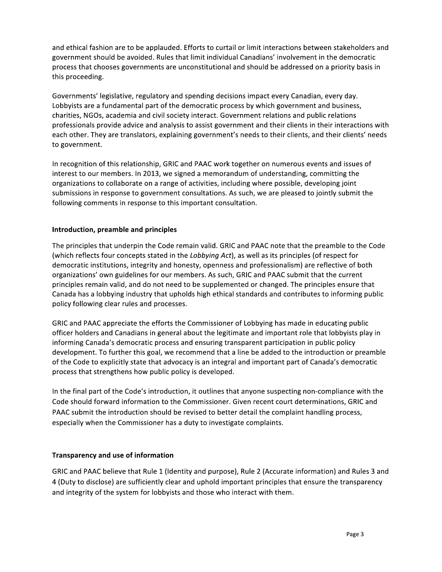and ethical fashion are to be applauded. Efforts to curtail or limit interactions between stakeholders and government should be avoided. Rules that limit individual Canadians' involvement in the democratic process that chooses governments are unconstitutional and should be addressed on a priority basis in this proceeding.

Governments' legislative, regulatory and spending decisions impact every Canadian, every day. Lobbyists are a fundamental part of the democratic process by which government and business, charities, NGOs, academia and civil society interact. Government relations and public relations professionals provide advice and analysis to assist government and their clients in their interactions with each other. They are translators, explaining government's needs to their clients, and their clients' needs to government.

In recognition of this relationship, GRIC and PAAC work together on numerous events and issues of interest to our members. In 2013, we signed a memorandum of understanding, committing the organizations to collaborate on a range of activities, including where possible, developing joint submissions in response to government consultations. As such, we are pleased to jointly submit the following comments in response to this important consultation.

## Introduction, preamble and principles

The principles that underpin the Code remain valid. GRIC and PAAC note that the preamble to the Code (which reflects four concepts stated in the Lobbying Act), as well as its principles (of respect for democratic institutions, integrity and honesty, openness and professionalism) are reflective of both organizations' own guidelines for our members. As such, GRIC and PAAC submit that the current principles remain valid, and do not need to be supplemented or changed. The principles ensure that Canada has a lobbying industry that upholds high ethical standards and contributes to informing public policy following clear rules and processes.

GRIC and PAAC appreciate the efforts the Commissioner of Lobbying has made in educating public officer holders and Canadians in general about the legitimate and important role that lobbyists play in informing Canada's democratic process and ensuring transparent participation in public policy development. To further this goal, we recommend that a line be added to the introduction or preamble of the Code to explicitly state that advocacy is an integral and important part of Canada's democratic process that strengthens how public policy is developed.

In the final part of the Code's introduction, it outlines that anyone suspecting non-compliance with the Code should forward information to the Commissioner. Given recent court determinations, GRIC and PAAC submit the introduction should be revised to better detail the complaint handling process, especially when the Commissioner has a duty to investigate complaints.

### **Transparency and use of information**

GRIC and PAAC believe that Rule 1 (Identity and purpose), Rule 2 (Accurate information) and Rules 3 and 4 (Duty to disclose) are sufficiently clear and uphold important principles that ensure the transparency and integrity of the system for lobbyists and those who interact with them.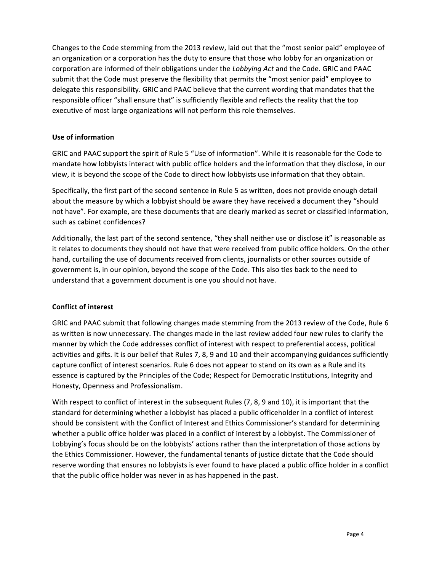Changes to the Code stemming from the 2013 review, laid out that the "most senior paid" employee of an organization or a corporation has the duty to ensure that those who lobby for an organization or corporation are informed of their obligations under the Lobbying Act and the Code. GRIC and PAAC submit that the Code must preserve the flexibility that permits the "most senior paid" employee to delegate this responsibility. GRIC and PAAC believe that the current wording that mandates that the responsible officer "shall ensure that" is sufficiently flexible and reflects the reality that the top executive of most large organizations will not perform this role themselves.

## Use of information

GRIC and PAAC support the spirit of Rule 5 "Use of information". While it is reasonable for the Code to mandate how lobbyists interact with public office holders and the information that they disclose, in our view, it is beyond the scope of the Code to direct how lobbyists use information that they obtain.

Specifically, the first part of the second sentence in Rule 5 as written, does not provide enough detail about the measure by which a lobbyist should be aware they have received a document they "should not have". For example, are these documents that are clearly marked as secret or classified information, such as cabinet confidences?

Additionally, the last part of the second sentence, "they shall neither use or disclose it" is reasonable as it relates to documents they should not have that were received from public office holders. On the other hand, curtailing the use of documents received from clients, journalists or other sources outside of government is, in our opinion, beyond the scope of the Code. This also ties back to the need to understand that a government document is one you should not have.

### **Conflict of interest**

GRIC and PAAC submit that following changes made stemming from the 2013 review of the Code, Rule 6 as written is now unnecessary. The changes made in the last review added four new rules to clarify the manner by which the Code addresses conflict of interest with respect to preferential access, political activities and gifts. It is our belief that Rules 7, 8, 9 and 10 and their accompanying guidances sufficiently capture conflict of interest scenarios. Rule 6 does not appear to stand on its own as a Rule and its essence is captured by the Principles of the Code; Respect for Democratic Institutions, Integrity and Honesty, Openness and Professionalism.

With respect to conflict of interest in the subsequent Rules (7, 8, 9 and 10), it is important that the standard for determining whether a lobbyist has placed a public officeholder in a conflict of interest should be consistent with the Conflict of Interest and Ethics Commissioner's standard for determining whether a public office holder was placed in a conflict of interest by a lobbyist. The Commissioner of Lobbying's focus should be on the lobbyists' actions rather than the interpretation of those actions by the Ethics Commissioner. However, the fundamental tenants of justice dictate that the Code should reserve wording that ensures no lobbyists is ever found to have placed a public office holder in a conflict that the public office holder was never in as has happened in the past.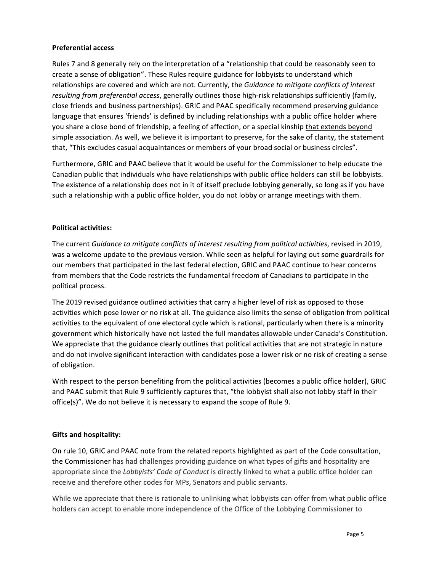### **Preferential access**

Rules 7 and 8 generally rely on the interpretation of a "relationship that could be reasonably seen to create a sense of obligation". These Rules require guidance for lobbyists to understand which relationships are covered and which are not. Currently, the Guidance to mitigate conflicts of interest resulting from preferential access, generally outlines those high-risk relationships sufficiently (family, close friends and business partnerships). GRIC and PAAC specifically recommend preserving guidance language that ensures 'friends' is defined by including relationships with a public office holder where you share a close bond of friendship, a feeling of affection, or a special kinship that extends beyond simple association. As well, we believe it is important to preserve, for the sake of clarity, the statement that, "This excludes casual acquaintances or members of your broad social or business circles".

Furthermore, GRIC and PAAC believe that it would be useful for the Commissioner to help educate the Canadian public that individuals who have relationships with public office holders can still be lobbyists. The existence of a relationship does not in it of itself preclude lobbying generally, so long as if you have such a relationship with a public office holder, you do not lobby or arrange meetings with them.

#### **Political activities:**

The current Guidance to mitigate conflicts of interest resulting from political activities, revised in 2019, was a welcome update to the previous version. While seen as helpful for laying out some guardrails for our members that participated in the last federal election, GRIC and PAAC continue to hear concerns from members that the Code restricts the fundamental freedom of Canadians to participate in the political process.

The 2019 revised guidance outlined activities that carry a higher level of risk as opposed to those activities which pose lower or no risk at all. The guidance also limits the sense of obligation from political activities to the equivalent of one electoral cycle which is rational, particularly when there is a minority government which historically have not lasted the full mandates allowable under Canada's Constitution. We appreciate that the guidance clearly outlines that political activities that are not strategic in nature and do not involve significant interaction with candidates pose a lower risk or no risk of creating a sense of obligation.

With respect to the person benefiting from the political activities (becomes a public office holder), GRIC and PAAC submit that Rule 9 sufficiently captures that, "the lobbyist shall also not lobby staff in their office(s)". We do not believe it is necessary to expand the scope of Rule 9.

### **Gifts and hospitality:**

On rule 10, GRIC and PAAC note from the related reports highlighted as part of the Code consultation, the Commissioner has had challenges providing guidance on what types of gifts and hospitality are appropriate since the Lobbyists' Code of Conduct is directly linked to what a public office holder can receive and therefore other codes for MPs, Senators and public servants.

While we appreciate that there is rationale to unlinking what lobbyists can offer from what public office holders can accept to enable more independence of the Office of the Lobbying Commissioner to